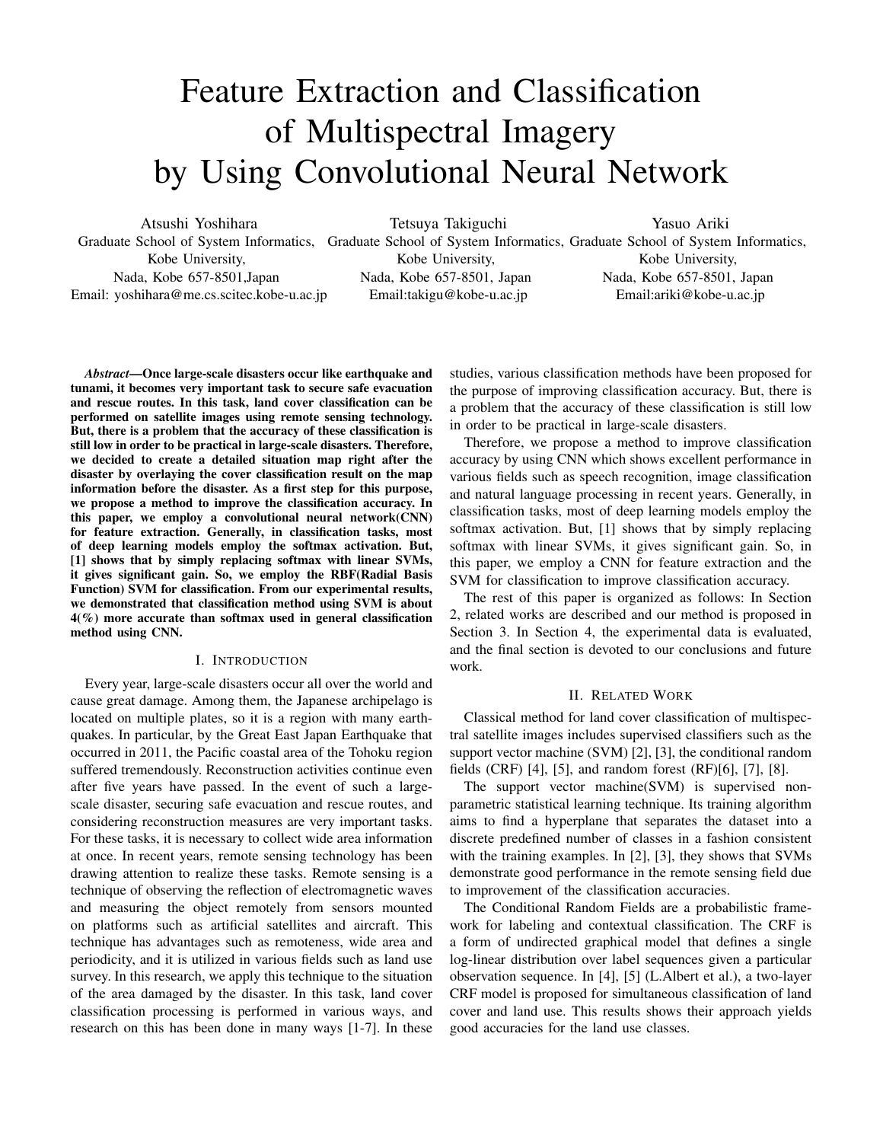# Feature Extraction and Classification of Multispectral Imagery by Using Convolutional Neural Network

Atsushi Yoshihara Graduate School of System Informatics, Graduate School of System Informatics, Graduate School of System Informatics, Kobe University, Nada, Kobe 657-8501,Japan Email: yoshihara@me.cs.scitec.kobe-u.ac.jp

Tetsuya Takiguchi

Kobe University, Nada, Kobe 657-8501, Japan Email:takigu@kobe-u.ac.jp

Yasuo Ariki

Kobe University, Nada, Kobe 657-8501, Japan Email:ariki@kobe-u.ac.jp

*Abstract*—Once large-scale disasters occur like earthquake and tunami, it becomes very important task to secure safe evacuation and rescue routes. In this task, land cover classification can be performed on satellite images using remote sensing technology. But, there is a problem that the accuracy of these classification is still low in order to be practical in large-scale disasters. Therefore, we decided to create a detailed situation map right after the disaster by overlaying the cover classification result on the map information before the disaster. As a first step for this purpose, we propose a method to improve the classification accuracy. In this paper, we employ a convolutional neural network(CNN) for feature extraction. Generally, in classification tasks, most of deep learning models employ the softmax activation. But, [1] shows that by simply replacing softmax with linear SVMs, it gives significant gain. So, we employ the RBF(Radial Basis Function) SVM for classification. From our experimental results, we demonstrated that classification method using SVM is about 4(%) more accurate than softmax used in general classification method using CNN.

### I. INTRODUCTION

Every year, large-scale disasters occur all over the world and cause great damage. Among them, the Japanese archipelago is located on multiple plates, so it is a region with many earthquakes. In particular, by the Great East Japan Earthquake that occurred in 2011, the Pacific coastal area of the Tohoku region suffered tremendously. Reconstruction activities continue even after five years have passed. In the event of such a largescale disaster, securing safe evacuation and rescue routes, and considering reconstruction measures are very important tasks. For these tasks, it is necessary to collect wide area information at once. In recent years, remote sensing technology has been drawing attention to realize these tasks. Remote sensing is a technique of observing the reflection of electromagnetic waves and measuring the object remotely from sensors mounted on platforms such as artificial satellites and aircraft. This technique has advantages such as remoteness, wide area and periodicity, and it is utilized in various fields such as land use survey. In this research, we apply this technique to the situation of the area damaged by the disaster. In this task, land cover classification processing is performed in various ways, and research on this has been done in many ways [1-7]. In these

studies, various classification methods have been proposed for the purpose of improving classification accuracy. But, there is a problem that the accuracy of these classification is still low in order to be practical in large-scale disasters.

Therefore, we propose a method to improve classification accuracy by using CNN which shows excellent performance in various fields such as speech recognition, image classification and natural language processing in recent years. Generally, in classification tasks, most of deep learning models employ the softmax activation. But, [1] shows that by simply replacing softmax with linear SVMs, it gives significant gain. So, in this paper, we employ a CNN for feature extraction and the SVM for classification to improve classification accuracy.

The rest of this paper is organized as follows: In Section 2, related works are described and our method is proposed in Section 3. In Section 4, the experimental data is evaluated, and the final section is devoted to our conclusions and future work.

### II. RELATED WORK

Classical method for land cover classification of multispectral satellite images includes supervised classifiers such as the support vector machine (SVM) [2], [3], the conditional random fields (CRF) [4], [5], and random forest (RF)[6], [7], [8].

The support vector machine(SVM) is supervised nonparametric statistical learning technique. Its training algorithm aims to find a hyperplane that separates the dataset into a discrete predefined number of classes in a fashion consistent with the training examples. In [2], [3], they shows that SVMs demonstrate good performance in the remote sensing field due to improvement of the classification accuracies.

The Conditional Random Fields are a probabilistic framework for labeling and contextual classification. The CRF is a form of undirected graphical model that defines a single log-linear distribution over label sequences given a particular observation sequence. In [4], [5] (L.Albert et al.), a two-layer CRF model is proposed for simultaneous classification of land cover and land use. This results shows their approach yields good accuracies for the land use classes.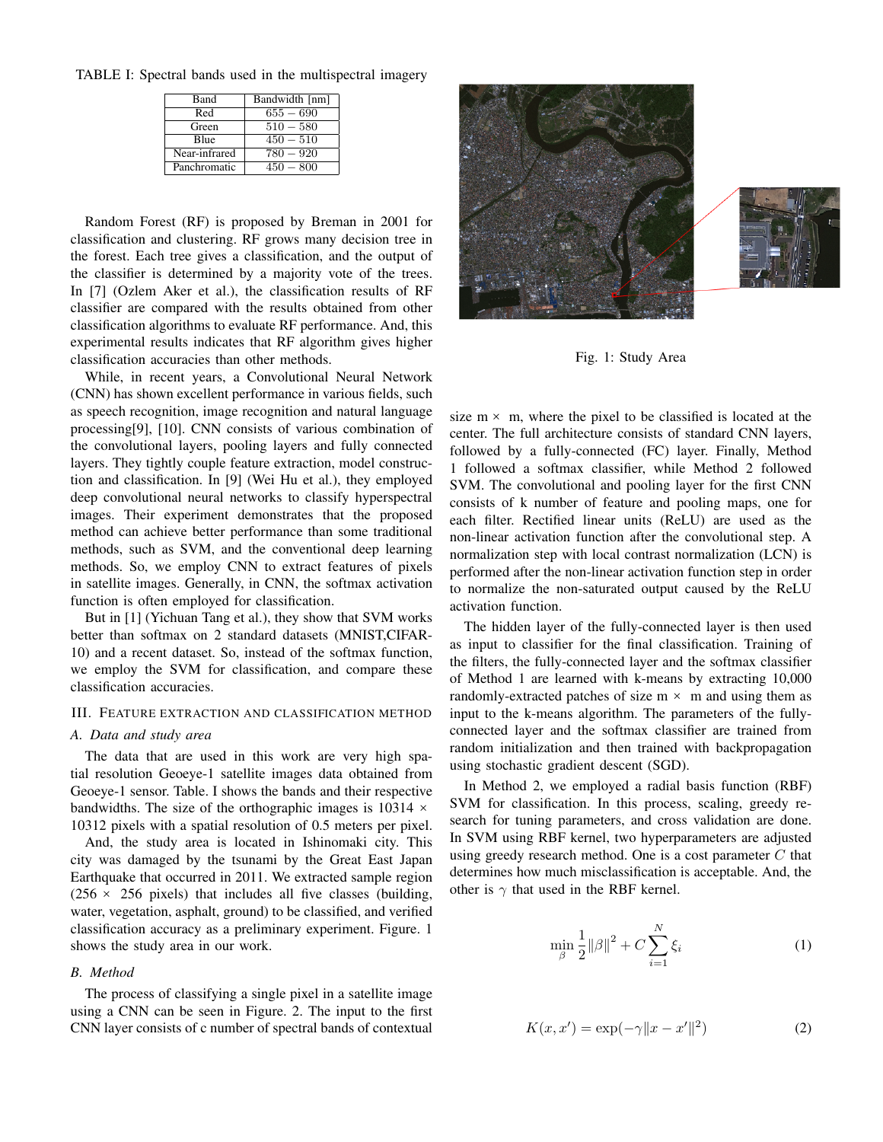TABLE I: Spectral bands used in the multispectral imagery

| Band          | Bandwidth [nm] |
|---------------|----------------|
| Red           | $655 - 690$    |
| Green         | $510 - 580$    |
| <b>B</b> lue  | $450 - 510$    |
| Near-infrared | 780 — 920      |
| Panchromatic  | $450 - 800$    |

Random Forest (RF) is proposed by Breman in 2001 for classification and clustering. RF grows many decision tree in the forest. Each tree gives a classification, and the output of the classifier is determined by a majority vote of the trees. In [7] (Ozlem Aker et al.), the classification results of RF classifier are compared with the results obtained from other classification algorithms to evaluate RF performance. And, this experimental results indicates that RF algorithm gives higher classification accuracies than other methods.

While, in recent years, a Convolutional Neural Network (CNN) has shown excellent performance in various fields, such as speech recognition, image recognition and natural language processing[9], [10]. CNN consists of various combination of the convolutional layers, pooling layers and fully connected layers. They tightly couple feature extraction, model construction and classification. In [9] (Wei Hu et al.), they employed deep convolutional neural networks to classify hyperspectral images. Their experiment demonstrates that the proposed method can achieve better performance than some traditional methods, such as SVM, and the conventional deep learning methods. So, we employ CNN to extract features of pixels in satellite images. Generally, in CNN, the softmax activation function is often employed for classification.

But in [1] (Yichuan Tang et al.), they show that SVM works better than softmax on 2 standard datasets (MNIST,CIFAR-10) and a recent dataset. So, instead of the softmax function, we employ the SVM for classification, and compare these classification accuracies.

# III. FEATURE EXTRACTION AND CLASSIFICATION METHOD

# *A. Data and study area*

The data that are used in this work are very high spatial resolution Geoeye-1 satellite images data obtained from Geoeye-1 sensor. Table. I shows the bands and their respective bandwidths. The size of the orthographic images is  $10314 \times$ 10312 pixels with a spatial resolution of 0.5 meters per pixel.

And, the study area is located in Ishinomaki city. This city was damaged by the tsunami by the Great East Japan Earthquake that occurred in 2011. We extracted sample region  $(256 \times 256$  pixels) that includes all five classes (building, water, vegetation, asphalt, ground) to be classified, and verified classification accuracy as a preliminary experiment. Figure. 1 shows the study area in our work.

### *B. Method*

The process of classifying a single pixel in a satellite image using a CNN can be seen in Figure. 2. The input to the first CNN layer consists of c number of spectral bands of contextual





Fig. 1: Study Area

size  $m \times m$ , where the pixel to be classified is located at the center. The full architecture consists of standard CNN layers, followed by a fully-connected (FC) layer. Finally, Method 1 followed a softmax classifier, while Method 2 followed SVM. The convolutional and pooling layer for the first CNN consists of k number of feature and pooling maps, one for each filter. Rectified linear units (ReLU) are used as the non-linear activation function after the convolutional step. A normalization step with local contrast normalization (LCN) is performed after the non-linear activation function step in order to normalize the non-saturated output caused by the ReLU activation function.

The hidden layer of the fully-connected layer is then used as input to classifier for the final classification. Training of the filters, the fully-connected layer and the softmax classifier of Method 1 are learned with k-means by extracting 10,000 randomly-extracted patches of size  $m \times m$  and using them as input to the k-means algorithm. The parameters of the fullyconnected layer and the softmax classifier are trained from random initialization and then trained with backpropagation using stochastic gradient descent (SGD).

In Method 2, we employed a radial basis function (RBF) SVM for classification. In this process, scaling, greedy research for tuning parameters, and cross validation are done. In SVM using RBF kernel, two hyperparameters are adjusted using greedy research method. One is a cost parameter *C* that determines how much misclassification is acceptable. And, the other is  $\gamma$  that used in the RBF kernel.

$$
\min_{\beta} \frac{1}{2} ||\beta||^2 + C \sum_{i=1}^{N} \xi_i
$$
 (1)

$$
K(x, x') = \exp(-\gamma \|x - x'\|^2)
$$
 (2)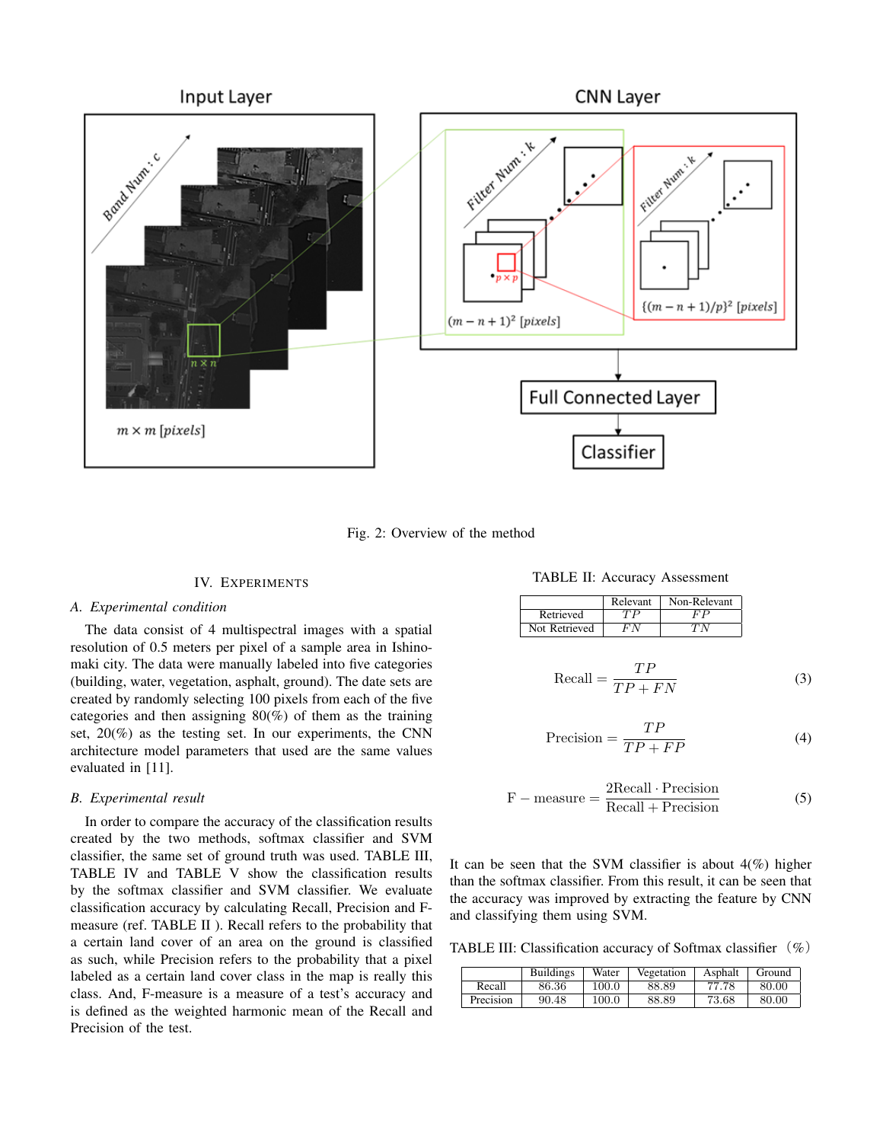

Fig. 2: Overview of the method

#### IV. EXPERIMENTS

#### *A. Experimental condition*

The data consist of 4 multispectral images with a spatial resolution of 0.5 meters per pixel of a sample area in Ishinomaki city. The data were manually labeled into five categories (building, water, vegetation, asphalt, ground). The date sets are created by randomly selecting 100 pixels from each of the five categories and then assigning  $80\%$  of them as the training set,  $20\%$  as the testing set. In our experiments, the CNN architecture model parameters that used are the same values evaluated in [11].

# *B. Experimental result*

In order to compare the accuracy of the classification results created by the two methods, softmax classifier and SVM classifier, the same set of ground truth was used. TABLE III, TABLE IV and TABLE V show the classification results by the softmax classifier and SVM classifier. We evaluate classification accuracy by calculating Recall, Precision and Fmeasure (ref. TABLE II ). Recall refers to the probability that a certain land cover of an area on the ground is classified as such, while Precision refers to the probability that a pixel labeled as a certain land cover class in the map is really this class. And, F-measure is a measure of a test's accuracy and is defined as the weighted harmonic mean of the Recall and Precision of the test.

TABLE II: Accuracy Assessment

|               | Relevant | Non-Relevant |
|---------------|----------|--------------|
| Retrieved     |          |              |
| Not Retrieved |          |              |

$$
\text{Recall} = \frac{TP}{TP + FN} \tag{3}
$$

$$
Precision = \frac{TP}{TP + FP}
$$
 (4)

$$
F - measure = \frac{2Recall \cdot Precision}{Recall + Precision}
$$
 (5)

It can be seen that the SVM classifier is about  $4\frac{1}{2}$  higher than the softmax classifier. From this result, it can be seen that the accuracy was improved by extracting the feature by CNN and classifying them using SVM.

TABLE III: Classification accuracy of Softmax classifier  $(\%)$ 

|           | <b>Buildings</b> | Water     | Vegetation | Asphalt | Ground |
|-----------|------------------|-----------|------------|---------|--------|
| Recall    | 86.36            | $100.0\,$ | 88.89      | 77.78   | 80.00  |
| Precision | 90.48            | 100.0     | 88.89      | 73.68   | 80.00  |